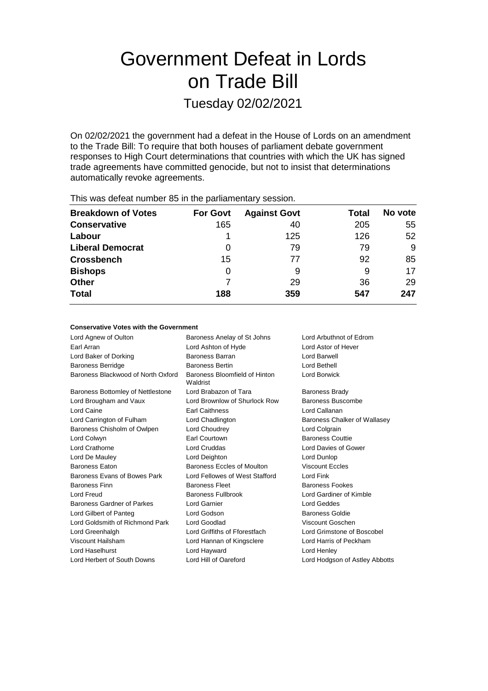# Government Defeat in Lords on Trade Bill

Tuesday 02/02/2021

On 02/02/2021 the government had a defeat in the House of Lords on an amendment to the Trade Bill: To require that both houses of parliament debate government responses to High Court determinations that countries with which the UK has signed trade agreements have committed genocide, but not to insist that determinations automatically revoke agreements.

| $1.1.0$ and the second contributions of the state production of the second $\sim$ |                 |                     |       |         |  |  |
|-----------------------------------------------------------------------------------|-----------------|---------------------|-------|---------|--|--|
| <b>Breakdown of Votes</b>                                                         | <b>For Govt</b> | <b>Against Govt</b> | Total | No vote |  |  |
| <b>Conservative</b>                                                               | 165             | 40                  | 205   | 55      |  |  |
| Labour                                                                            |                 | 125                 | 126   | 52      |  |  |
| <b>Liberal Democrat</b>                                                           | 0               | 79                  | 79    | 9       |  |  |
| <b>Crossbench</b>                                                                 | 15              | 77                  | 92    | 85      |  |  |
| <b>Bishops</b>                                                                    | 0               | 9                   | 9     | 17      |  |  |
| <b>Other</b>                                                                      |                 | 29                  | 36    | 29      |  |  |
| <b>Total</b>                                                                      | 188             | 359                 | 547   | 247     |  |  |
|                                                                                   |                 |                     |       |         |  |  |

This was defeat number 85 in the parliamentary session.

#### **Conservative Votes with the Government**

| Lord Agnew of Oulton               | Baroness Anelay of St Johns               | Lord Arbuthnot of Edrom        |  |
|------------------------------------|-------------------------------------------|--------------------------------|--|
| <b>Farl Arran</b>                  | Lord Ashton of Hyde                       | Lord Astor of Hever            |  |
| Lord Baker of Dorking              | <b>Baroness Barran</b>                    | Lord Barwell                   |  |
| <b>Baroness Berridge</b>           | <b>Baroness Bertin</b>                    | Lord Bethell                   |  |
| Baroness Blackwood of North Oxford | Baroness Bloomfield of Hinton<br>Waldrist | Lord Borwick                   |  |
| Baroness Bottomley of Nettlestone  | Lord Brabazon of Tara                     | <b>Baroness Brady</b>          |  |
| Lord Brougham and Vaux             | Lord Brownlow of Shurlock Row             | Baroness Buscombe              |  |
| Lord Caine                         | Earl Caithness                            | Lord Callanan                  |  |
| Lord Carrington of Fulham          | Lord Chadlington                          | Baroness Chalker of Wallasey   |  |
| Baroness Chisholm of Owlpen        | Lord Choudrey                             | Lord Colgrain                  |  |
| Lord Colwyn                        | Earl Courtown                             | <b>Baroness Couttie</b>        |  |
| <b>Lord Crathorne</b>              | <b>Lord Cruddas</b>                       | Lord Davies of Gower           |  |
| Lord De Mauley                     | Lord Deighton                             | Lord Dunlop                    |  |
| <b>Baroness Eaton</b>              | Baroness Eccles of Moulton                | <b>Viscount Eccles</b>         |  |
| Baroness Evans of Bowes Park       | Lord Fellowes of West Stafford            | Lord Fink                      |  |
| <b>Baroness Finn</b>               | <b>Baroness Fleet</b>                     | Baroness Fookes                |  |
| Lord Freud                         | <b>Baroness Fullbrook</b>                 | Lord Gardiner of Kimble        |  |
| Baroness Gardner of Parkes         | <b>Lord Garnier</b>                       | Lord Geddes                    |  |
| Lord Gilbert of Panteg             | Lord Godson                               | <b>Baroness Goldie</b>         |  |
| Lord Goldsmith of Richmond Park    | Lord Goodlad                              | Viscount Goschen               |  |
| Lord Greenhalgh                    | Lord Griffiths of Fforestfach             | Lord Grimstone of Boscobel     |  |
| Viscount Hailsham                  | Lord Hannan of Kingsclere                 | Lord Harris of Peckham         |  |
| <b>Lord Haselhurst</b>             | Lord Hayward                              | Lord Henley                    |  |
| Lord Herbert of South Downs        | Lord Hill of Oareford                     | Lord Hodgson of Astley Abbotts |  |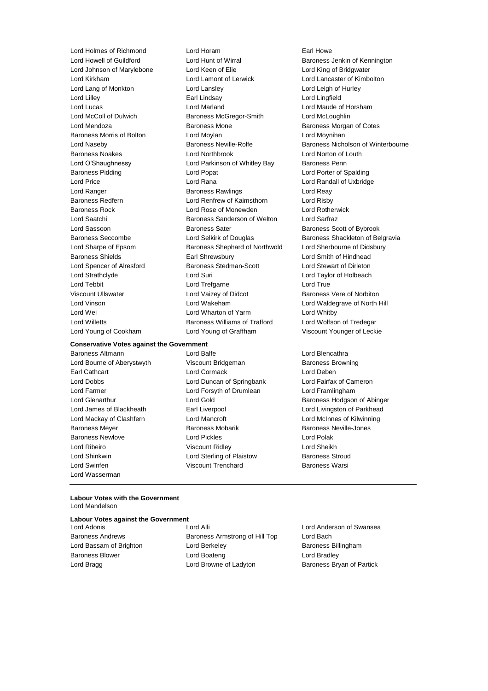#### **Conservative Votes against the Government**

Baroness Altmann Lord Balfe Lord Blencathra Lord Bourne of Aberystwyth Viscount Bridgeman Baroness Browning Earl Cathcart **Lord Cormack** Lord Cormack Lord Deben Lord Dobbs Lord Duncan of Springbank Lord Fairfax of Cameron Lord Farmer **Lord Forsyth of Drumlean** Lord Framlingham Lord James of Blackheath Earl Liverpool Lord Livingston of Parkhead Lord Mackay of Clashfern Lord Mancroft Lord McInnes of Kilwinning Baroness Meyer **Baroness Mobarik Baroness Neville-Jones** Baroness Neville-Jones Baroness Newlove Lord Pickles Lord Polak Lord Ribeiro Viscount Ridley Lord Sheikh Lord Shinkwin Lord Sterling of Plaistow Baroness Stroud Lord Swinfen Viscount Trenchard Baroness Warsi Lord Wasserman

Lord Holmes of Richmond Lord Horam Earl Howe Lord Howell of Guildford **Lord Hunt of Wirral** Baroness Jenkin of Kennington<br>
Lord Johnson of Marvlebone Lord Keen of Elie **Lord King of Bridgwater** Lord Johnson of Marylebone Lord Keen of Elie Lord King of Bridgwater Lord Kirkham Lord Lamont of Lerwick Lord Lancaster of Kimbolton Lord Lang of Monkton Lord Lansley Lord Leigh of Hurley Lord Lilley Earl Lindsay Lord Lingfield Lord Lucas Lord Marland Lord Maude of Horsham Lord McColl of Dulwich Baroness McGregor-Smith Lord McLoughlin Lord Mendoza Baroness Mone Baroness Morgan of Cotes Baroness Morris of Bolton **Lord Moylan** Lord Moyness Morris of Bolton Lord Moynihan Baroness Noakes Lord Northbrook Lord Norton of Louth Lord O'Shaughnessy **Lord Parkinson of Whitley Bay** Baroness Penn Baroness Pidding Lord Popat Lord Porter of Spalding Lord Price Lord Rana Lord Randall of Uxbridge Lord Ranger **Baroness Rawlings** Lord Reay Rawlings Lord Reay Baroness Redfern **Lord Renfrew of Kaimsthorn** Lord Risby Baroness Rock Lord Rose of Monewden Lord Rotherwick Lord Saatchi Baroness Sanderson of Welton Lord Sarfraz Lord Sassoon **Baroness Sater** Baroness Scott of Bybrook Lord Sharpe of Epsom Baroness Shephard of Northwold Lord Sherbourne of Didsbury Baroness Shields Earl Shrewsbury Lord Smith of Hindhead Lord Spencer of Alresford Baroness Stedman-Scott Lord Stewart of Dirleton Lord Strathclyde Lord Suri Lord Taylor of Holbeach Lord Tebbit Lord Trefgarne Lord True Viscount Ullswater Lord Vaizey of Didcot Baroness Vere of Norbiton Lord Vinson Lord Wakeham Lord Waldegrave of North Hill Lord Wei Lord Wharton of Yarm Lord Whitby Lord Willetts **Baroness Williams of Trafford** Lord Wolfson of Tredegar Lord Young of Cookham Lord Young of Graffham Viscount Younger of Leckie

Lord Naseby **Baroness Neville-Rolfe** Baroness Nicholson of Winterbourne Baroness Seccombe **Lord Selkirk of Douglas** Baroness Shackleton of Belgravia

Lord Glenarthur Lord Gold Baroness Hodgson of Abinger

#### **Labour Votes with the Government** Lord Mandelson

### **Labour Votes against the Government**

Lord Adonis Lord Alli Lord Anderson of Swansea Baroness Andrews **Baroness Armstrong of Hill Top** Lord Bach Lord Bassam of Brighton **Lord Berkeley Baroness Billingham** Baroness Blower Lord Boateng Lord Bradley Lord Bragg **Lord Browne of Ladyton** Baroness Bryan of Partick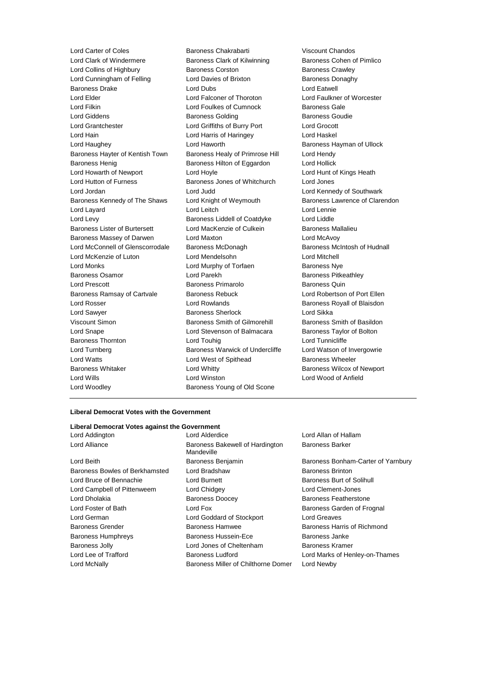Lord Carter of Coles Baroness Chakrabarti Viscount Chandos Lord Clark of Windermere **Baroness Clark of Kilwinning** Baroness Cohen of Pimlico Lord Collins of Highbury Baroness Corston Baroness Crawley Lord Cunningham of Felling Theory Lord Davies of Brixton Theory Baroness Donaghy Baroness Drake **Lord Dubs** Lord Dubs **Lord Eatwell** Lord Elder Lord Falconer of Thoroton Lord Faulkner of Worcester Lord Filkin **Lord Foulkes of Cumnock** Baroness Gale Lord Giddens **Baroness Golding** Baroness Goudie Baroness Goudie Lord Grantchester Lord Griffiths of Burry Port Lord Grocott Lord Hain Lord Harris of Haringey Lord Haskel Lord Haughey Lord Haworth Baroness Hayman of Ullock Baroness Hayter of Kentish Town Baroness Healy of Primrose Hill Lord Hendy Baroness Henig Baroness Hilton of Eggardon Lord Hollick Lord Howarth of Newport Lord Hoyle Lord Hunt of Kings Heath Lord Hutton of Furness **Baroness Jones of Whitchurch** Lord Jones Lord Jordan Lord Judd Lord Kennedy of Southwark Baroness Kennedy of The Shaws Lord Knight of Weymouth Baroness Lawrence of Clarendon Lord Layard Lord Leitch Lord Lennie Lord Levy Baroness Liddell of Coatdyke Lord Liddle Baroness Lister of Burtersett Lord MacKenzie of Culkein Baroness Mallalieu Baroness Massey of Darwen Lord Maxton Lord McAvoy Lord McConnell of Glenscorrodale Baroness McDonagh Baroness McIntosh of Hudnall Lord McKenzie of Luton Lord Mendelsohn Lord Mitchell Lord Monks **Lord Murphy of Torfaen** Baroness Nye Baroness Osamor **Baroness** Correct Lord Parekh Baroness Pitkeathley Lord Prescott Baroness Primarolo Baroness Quin Baroness Ramsay of Cartvale Baroness Rebuck Lord Robertson of Port Ellen Lord Rosser **Lord Rowlands Baroness Royall of Blaisdon** Lord Sawyer **Baroness Sherlock** Lord Sikka Viscount Simon Baroness Smith of Gilmorehill Baroness Smith of Basildon Lord Snape **Lord Stevenson of Balmacara** Baroness Taylor of Bolton Baroness Thornton Lord Touhig Lord Tunnicliffe Lord Turnberg **Baroness Warwick of Undercliffe** Lord Watson of Invergowrie Lord Watts **Lord West of Spithead** Baroness Wheeler Baroness Whitaker **Lord Whitty Lord Whitty** Baroness Wilcox of Newport Lord Wills Lord Winston Lord Wood of Anfield Lord Woodley Baroness Young of Old Scone

#### **Liberal Democrat Votes with the Government**

#### **Liberal Democrat Votes against the Government**

Lord Alliance **Baroness Bakewell of Hardington** Lord Beith **Baroness Benjamin** Baroness Benjamin Baroness Bonham-Carter of Yarnbury Baroness Bowles of Berkhamsted Lord Bradshaw Baroness Brinton Lord Bruce of Bennachie Lord Burnett Baroness Burt of Solihull Lord Campbell of Pittenweem Lord Chidgey Lord Clement-Jones Lord Dholakia Baroness Doocey Baroness Featherstone Lord Foster of Bath **Lord Fox** Lord Fox **Baroness Garden of Frognal** Lord German Lord Goddard of Stockport Lord Greaves Baroness Grender **Baroness Hammed Baroness Hammed Baroness Harris of Richmond** Baroness Humphreys Baroness Hussein-Ece Baroness Janke Baroness Jolly **Communist Coney Conetive** Lord Jones of Cheltenham **Baroness Kramer** Lord Lee of Trafford Baroness Ludford Lord Marks of Henley-on-Thames Lord McNally Baroness Miller of Chilthorne Domer Lord Newby

Lord Addington Lord Alderdice Lord Allan of Hallam Mandeville

Baroness Barker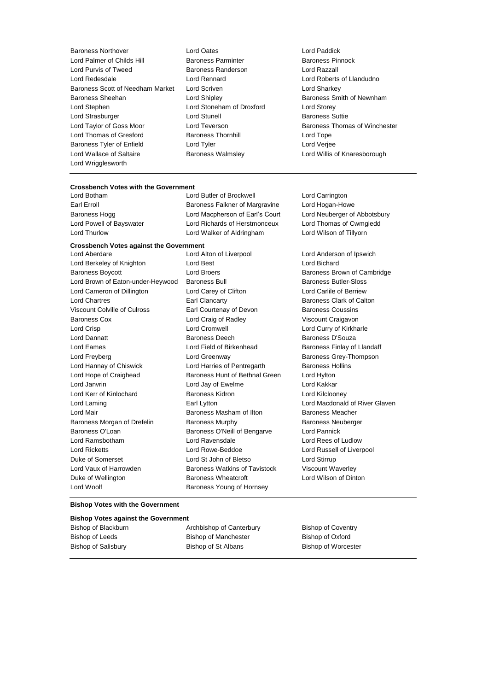- Baroness Northover Lord Oates Lord Paddick Lord Palmer of Childs Hill Baroness Parminter Baroness Pinnock<br>
Lord Purvis of Tweed Baroness Randerson Baroness Pinnock Lord Purvis of Tweed Baroness Randerson Lord Redesdale Lord Rennard Lord Roberts of Llandudno Baroness Scott of Needham Market Lord Scriven Lord Sharkey Lord Sharkey Baroness Sheehan **Baroness Sheehan** Lord Shipley **Baroness Smith of Newnham** Lord Stephen Lord Stoneham of Droxford Lord Storey Lord Strasburger **Lord Stunell** Baroness Suttie Lord Taylor of Goss Moor **Lord Teverson** Communist Cord Taylor of Winchester Lord Thomas of Winchester<br>
Lord Thomas of Gresford **Baroness Thornhill** Cord Tope Lord Tope Lord Thomas of Gresford **Baroness Thornhill** Lord Tope **Lord Tope** Baroness Tyler of Enfield Lord Tyler Lord Verjee Lord Wallace of Saltaire Baroness Walmsley Lord Willis of Knaresborough Lord Wrigglesworth
	-

## **Crossbench Votes with the Government**

Lord Butler of Brockwell Lord Carrington Earl Erroll Baroness Falkner of Margravine Lord Hogan-Howe Baroness Hogg **Lord Macpherson of Earl's Court** Lord Neuberger of Abbotsbury Lord Powell of Bayswater Lord Richards of Herstmonceux Lord Thomas of Cwmgiedd Lord Thurlow Lord Walker of Aldringham Lord Wilson of Tillyorn

#### **Crossbench Votes against the Government**

Lord Berkeley of Knighton **Lord Best** Lord Bichard Lord Bichard Baroness Boycott **Exercise School** Lord Broers **Baroness Brown of Cambridge** Lord Brown of Eaton-under-Heywood Baroness Bull Baroness Butler-Sloss Lord Cameron of Dillington Lord Carey of Clifton Lord Carlile of Berriew Lord Chartres **Earl Clancarty** Earl Clancarty **Baroness Clark of Calton** Viscount Colville of Culross **Earl Courtenay of Devon** Baroness Coussins Baroness Cox **Lord Craig of Radley** Viscount Craigavon Lord Crisp Lord Cromwell Lord Curry of Kirkharle Lord Dannatt **Baroness Deech** Baroness Deech Baroness D'Souza Lord Eames **Lord Field of Birkenhead** Baroness Finlay of Llandaff Lord Freyberg **Lord Greenway Community** Baroness Grey-Thompson Lord Hannay of Chiswick Lord Harries of Pentregarth Baroness Hollins Lord Hope of Craighead Baroness Hunt of Bethnal Green Lord Hylton Lord Janvrin Lord Jay of Ewelme Lord Kakkar Lord Kerr of Kinlochard Baroness Kidron Lord Kilclooney Lord Laming **Earl Lytton** Earl Lytton **Lord Macdonald of River Glaven** Lord Mair Baroness Masham of Ilton Baroness Meacher Baroness Morgan of Drefelin Baroness Murphy Baroness Neuberger Baroness O'Loan **Baroness O'Neill of Bengarve** Lord Pannick Lord Ramsbotham Lord Ravensdale Lord Rees of Ludlow Lord Ricketts Lord Rowe-Beddoe Lord Russell of Liverpool Duke of Somerset Lord St John of Bletso Lord Stirrup Lord Vaux of Harrowden Baroness Watkins of Tavistock Viscount Waverley Duke of Wellington Baroness Wheatcroft Lord Wilson of Dinton Lord Woolf **Baroness Young of Hornsey** 

Lord Aberdare Lord Alton of Liverpool Lord Anderson of Ipswich

#### **Bishop Votes with the Government**

#### **Bishop Votes against the Government**

| Bishop of Blackburn | Archbishop of Canterbury    | Bishop of Coventry         |
|---------------------|-----------------------------|----------------------------|
| Bishop of Leeds     | <b>Bishop of Manchester</b> | Bishop of Oxford           |
| Bishop of Salisbury | Bishop of St Albans         | <b>Bishop of Worcester</b> |